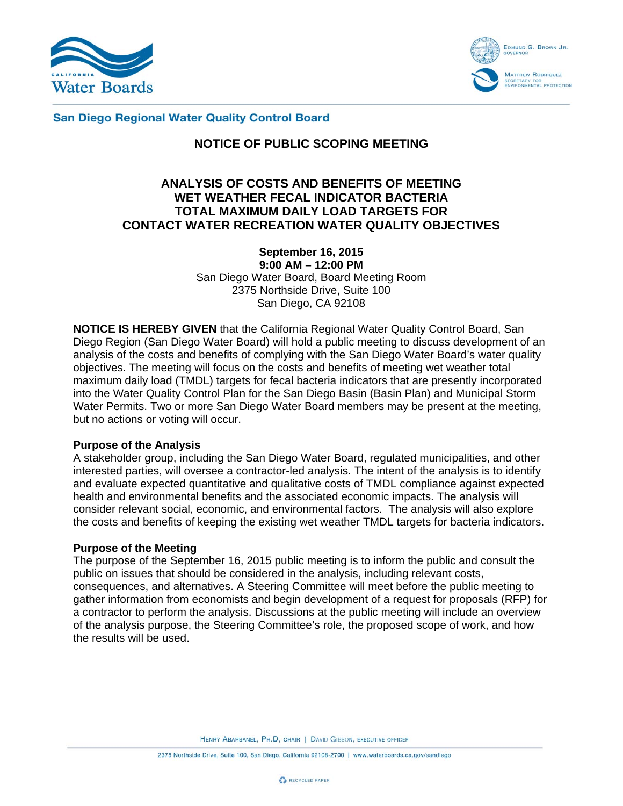



**San Diego Regional Water Quality Control Board** 

# **NOTICE OF PUBLIC SCOPING MEETING**

# **ANALYSIS OF COSTS AND BENEFITS OF MEETING WET WEATHER FECAL INDICATOR BACTERIA TOTAL MAXIMUM DAILY LOAD TARGETS FOR CONTACT WATER RECREATION WATER QUALITY OBJECTIVES**

**September 16, 2015 9:00 AM – 12:00 PM**  San Diego Water Board, Board Meeting Room 2375 Northside Drive, Suite 100 San Diego, CA 92108

**NOTICE IS HEREBY GIVEN** that the California Regional Water Quality Control Board, San Diego Region (San Diego Water Board) will hold a public meeting to discuss development of an analysis of the costs and benefits of complying with the San Diego Water Board's water quality objectives. The meeting will focus on the costs and benefits of meeting wet weather total maximum daily load (TMDL) targets for fecal bacteria indicators that are presently incorporated into the Water Quality Control Plan for the San Diego Basin (Basin Plan) and Municipal Storm Water Permits. Two or more San Diego Water Board members may be present at the meeting, but no actions or voting will occur.

#### **Purpose of the Analysis**

A stakeholder group, including the San Diego Water Board, regulated municipalities, and other interested parties, will oversee a contractor-led analysis. The intent of the analysis is to identify and evaluate expected quantitative and qualitative costs of TMDL compliance against expected health and environmental benefits and the associated economic impacts. The analysis will consider relevant social, economic, and environmental factors. The analysis will also explore the costs and benefits of keeping the existing wet weather TMDL targets for bacteria indicators.

#### **Purpose of the Meeting**

The purpose of the September 16, 2015 public meeting is to inform the public and consult the public on issues that should be considered in the analysis, including relevant costs, consequences, and alternatives. A Steering Committee will meet before the public meeting to gather information from economists and begin development of a request for proposals (RFP) for a contractor to perform the analysis. Discussions at the public meeting will include an overview of the analysis purpose, the Steering Committee's role, the proposed scope of work, and how the results will be used.

HENRY ABARBANEL, PH.D, CHAIR | DAVID GIBSON, EXECUTIVE OFFICER